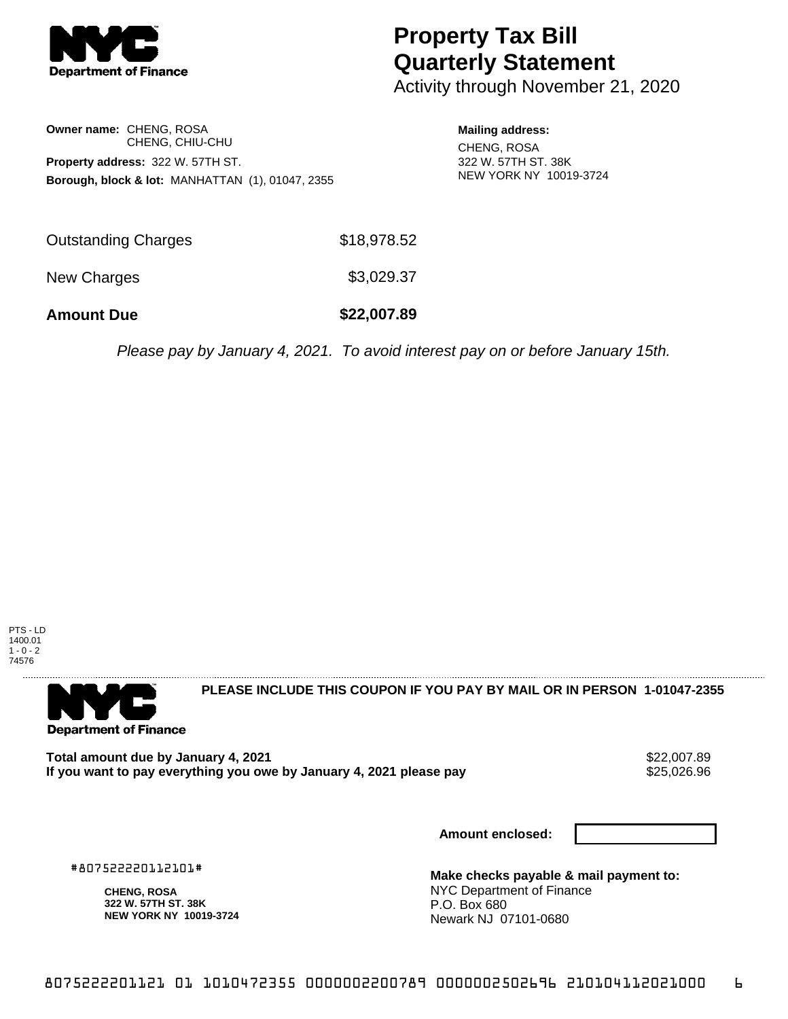

## **Property Tax Bill Quarterly Statement**

Activity through November 21, 2020

**Owner name:** CHENG, ROSA CHENG, CHIU-CHU **Property address:** 322 W. 57TH ST. **Borough, block & lot:** MANHATTAN (1), 01047, 2355

**Mailing address:** CHENG, ROSA 322 W. 57TH ST. 38K NEW YORK NY 10019-3724

| <b>Amount Due</b>   | \$22,007.89 |
|---------------------|-------------|
| New Charges         | \$3,029.37  |
| Outstanding Charges | \$18,978.52 |

Please pay by January 4, 2021. To avoid interest pay on or before January 15th.





**PLEASE INCLUDE THIS COUPON IF YOU PAY BY MAIL OR IN PERSON 1-01047-2355** 

**Total amount due by January 4, 2021**<br>If you want to pay everything you owe by January 4, 2021 please pay **secure that the same of the secure of the s** If you want to pay everything you owe by January 4, 2021 please pay

**Amount enclosed:**

#807522220112101#

**CHENG, ROSA 322 W. 57TH ST. 38K NEW YORK NY 10019-3724**

**Make checks payable & mail payment to:** NYC Department of Finance P.O. Box 680 Newark NJ 07101-0680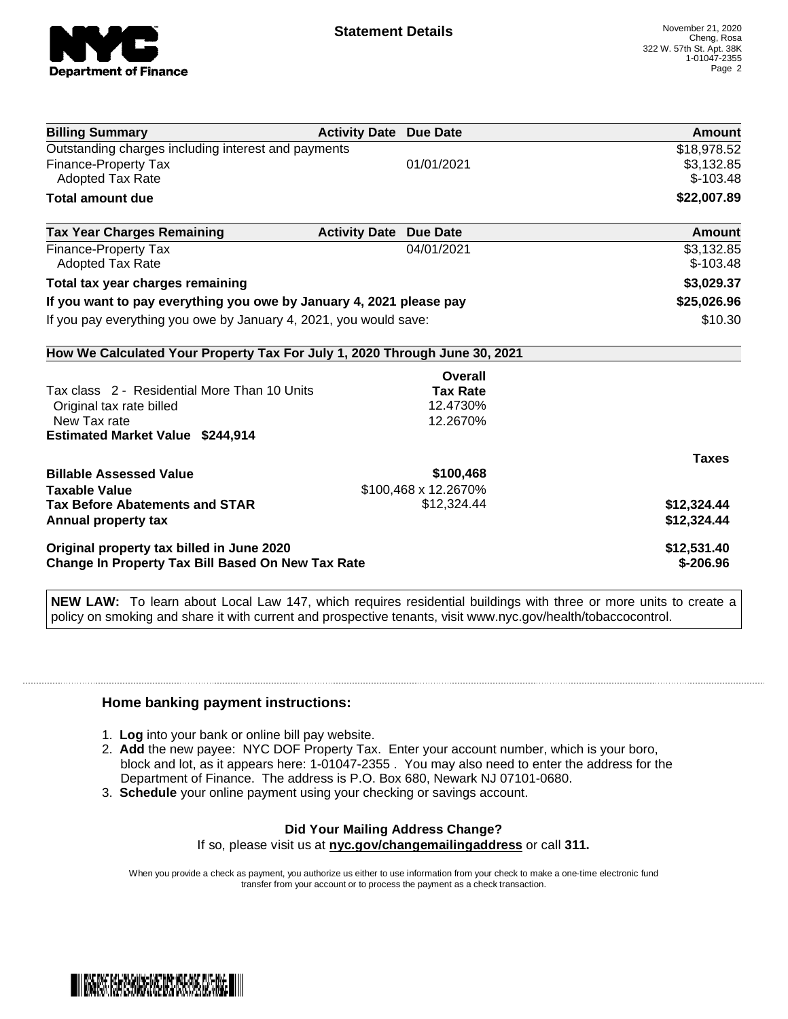

| <b>Billing Summary</b>                                                     | <b>Activity Date Due Date</b>           | Amount       |
|----------------------------------------------------------------------------|-----------------------------------------|--------------|
| Outstanding charges including interest and payments                        |                                         | \$18,978.52  |
| Finance-Property Tax                                                       | 01/01/2021                              | \$3,132.85   |
| Adopted Tax Rate                                                           |                                         | $$-103.48$   |
| <b>Total amount due</b>                                                    |                                         | \$22,007.89  |
| <b>Tax Year Charges Remaining</b>                                          | <b>Activity Date</b><br><b>Due Date</b> | Amount       |
| Finance-Property Tax                                                       | 04/01/2021                              | \$3,132.85   |
| <b>Adopted Tax Rate</b>                                                    |                                         | $$-103.48$   |
| Total tax year charges remaining                                           |                                         | \$3,029.37   |
| If you want to pay everything you owe by January 4, 2021 please pay        |                                         | \$25,026.96  |
| If you pay everything you owe by January 4, 2021, you would save:          |                                         | \$10.30      |
| How We Calculated Your Property Tax For July 1, 2020 Through June 30, 2021 |                                         |              |
|                                                                            | Overall                                 |              |
| Tax class 2 - Residential More Than 10 Units                               | <b>Tax Rate</b>                         |              |
| Original tax rate billed                                                   | 12.4730%                                |              |
| New Tax rate                                                               | 12.2670%                                |              |
| <b>Estimated Market Value \$244,914</b>                                    |                                         |              |
|                                                                            |                                         | <b>Taxes</b> |
| <b>Billable Assessed Value</b>                                             | \$100,468                               |              |
| <b>Taxable Value</b>                                                       | \$100,468 x 12.2670%                    |              |
| <b>Tax Before Abatements and STAR</b>                                      | \$12,324.44                             | \$12,324.44  |
| Annual property tax                                                        |                                         | \$12,324.44  |
| Original property tax billed in June 2020                                  |                                         | \$12,531.40  |
| <b>Change In Property Tax Bill Based On New Tax Rate</b>                   |                                         | $$-206.96$   |

**NEW LAW:** To learn about Local Law 147, which requires residential buildings with three or more units to create a policy on smoking and share it with current and prospective tenants, visit www.nyc.gov/health/tobaccocontrol.

## **Home banking payment instructions:**

- 1. **Log** into your bank or online bill pay website.
- 2. **Add** the new payee: NYC DOF Property Tax. Enter your account number, which is your boro, block and lot, as it appears here: 1-01047-2355 . You may also need to enter the address for the Department of Finance. The address is P.O. Box 680, Newark NJ 07101-0680.
- 3. **Schedule** your online payment using your checking or savings account.

## **Did Your Mailing Address Change?**

If so, please visit us at **nyc.gov/changemailingaddress** or call **311.**

When you provide a check as payment, you authorize us either to use information from your check to make a one-time electronic fund transfer from your account or to process the payment as a check transaction.